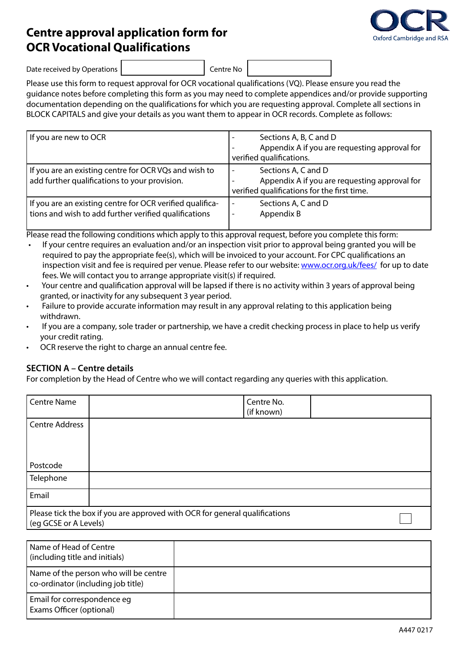# **Centre approval application form for OCR Vocational Qualifications**



Date received by Operations | Centre No

Please use this form to request approval for OCR vocational qualifications (VQ). Please ensure you read the guidance notes before completing this form as you may need to complete appendices and/or provide supporting documentation depending on the qualifications for which you are requesting approval. Complete all sections in BLOCK CAPITALS and give your details as you want them to appear in OCR records. Complete as follows:

| If you are new to OCR                                                                                              | Sections A, B, C and D<br>Appendix A if you are requesting approval for<br>verified qualifications.                                             |
|--------------------------------------------------------------------------------------------------------------------|-------------------------------------------------------------------------------------------------------------------------------------------------|
| If you are an existing centre for OCR VQs and wish to<br>add further qualifications to your provision.             | Sections A, C and D<br>$\overline{\phantom{0}}$<br>Appendix A if you are requesting approval for<br>verified qualifications for the first time. |
| If you are an existing centre for OCR verified qualifica-<br>tions and wish to add further verified qualifications | Sections A, C and D<br>$\overline{\phantom{0}}$<br>Appendix B<br>-                                                                              |

Please read the following conditions which apply to this approval request, before you complete this form:

- If your centre requires an evaluation and/or an inspection visit prior to approval being granted you will be required to pay the appropriate fee(s), which will be invoiced to your account. For CPC qualifications an inspection visit and fee is required per venue. Please refer to our website: <www.ocr.org.uk/fees/>for up to date fees. We will contact you to arrange appropriate visit(s) if required.
- Your centre and qualification approval will be lapsed if there is no activity within 3 years of approval being granted, or inactivity for any subsequent 3 year period.
- Failure to provide accurate information may result in any approval relating to this application being withdrawn.
- If you are a company, sole trader or partnership, we have a credit checking process in place to help us verify your credit rating.
- OCR reserve the right to charge an annual centre fee.

#### **SECTION A – Centre details**

For completion by the Head of Centre who we will contact regarding any queries with this application.

| <b>Centre Name</b>    |                                                                             | Centre No.<br>(if known) |  |
|-----------------------|-----------------------------------------------------------------------------|--------------------------|--|
| <b>Centre Address</b> |                                                                             |                          |  |
|                       |                                                                             |                          |  |
| Postcode              |                                                                             |                          |  |
| Telephone             |                                                                             |                          |  |
| Email                 |                                                                             |                          |  |
| (eq GCSE or A Levels) | Please tick the box if you are approved with OCR for general qualifications |                          |  |

| l Name of Head of Centre<br>(including title and initials)                  |  |
|-----------------------------------------------------------------------------|--|
| Name of the person who will be centre<br>co-ordinator (including job title) |  |
| Email for correspondence eq<br>Exams Officer (optional)                     |  |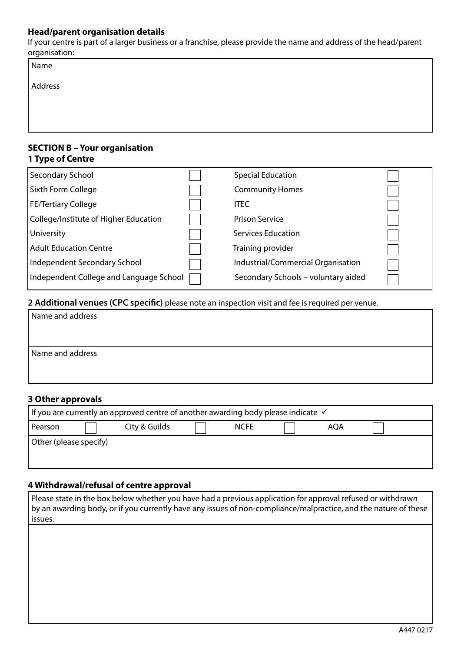### **Head/parent organisation details**

If your centre is part of a larger business or a franchise, please provide the name and address of the head/parent organisation:

| Name    |  |
|---------|--|
| Address |  |
|         |  |
|         |  |
|         |  |

## **SECTION B – Your organisation 1 Type of Centre**

| Secondary School                        | <b>Special Education</b>            |  |
|-----------------------------------------|-------------------------------------|--|
| Sixth Form College                      | <b>Community Homes</b>              |  |
| <b>FE/Tertiary College</b>              | <b>ITEC</b>                         |  |
| College/Institute of Higher Education   | Prison Service                      |  |
| University                              | Services Education                  |  |
| <b>Adult Education Centre</b>           | Training provider                   |  |
| Independent Secondary School            | Industrial/Commercial Organisation  |  |
| Independent College and Language School | Secondary Schools - voluntary aided |  |

# **2 Additional venues (CPC specific)** please note an inspection visit and fee is required per venue.

| Name and address |  |
|------------------|--|
|                  |  |
|                  |  |
| Name and address |  |
|                  |  |
|                  |  |

### **3 Other approvals**

| If you are currently an approved centre of another awarding body please indicate $\checkmark$ |  |  |  |  |  |
|-----------------------------------------------------------------------------------------------|--|--|--|--|--|
| City & Guilds<br><b>NCFE</b><br>Pearson<br><b>AQA</b>                                         |  |  |  |  |  |
| Other (please specify)                                                                        |  |  |  |  |  |
|                                                                                               |  |  |  |  |  |

## **4 Withdrawal/refusal of centre approval**

| Please state in the box below whether you have had a previous application for approval refused or withdrawn     |
|-----------------------------------------------------------------------------------------------------------------|
| by an awarding body, or if you currently have any issues of non-compliance/malpractice, and the nature of these |
| issues.                                                                                                         |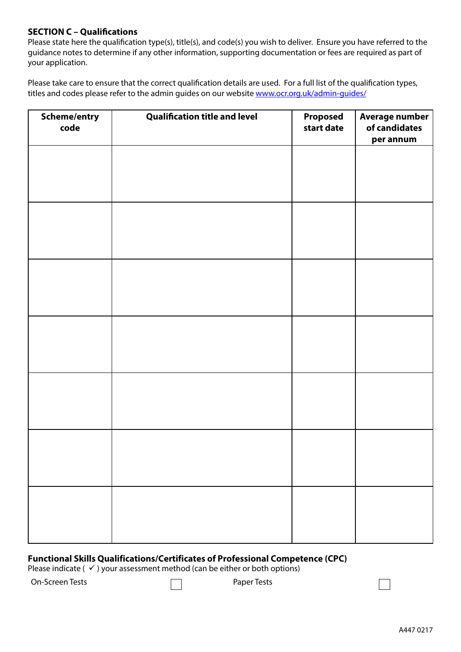### **SECTION C – Qualifications**

Please state here the qualification type(s), title(s), and code(s) you wish to deliver. Ensure you have referred to the guidance notes to determine if any other information, supporting documentation or fees are required as part of your application.

Please take care to ensure that the correct qualification details are used. For a full list of the qualification types, titles and codes please refer to the admin guides on our website [www.ocr.org.uk/admin-guides/](www.ocr.org.uk/admin-guides/%0D)

| Scheme/entry<br>code | <b>Qualification title and level</b> | Proposed<br>start date | Average number<br>of candidates<br>per annum |
|----------------------|--------------------------------------|------------------------|----------------------------------------------|
|                      |                                      |                        |                                              |
|                      |                                      |                        |                                              |
|                      |                                      |                        |                                              |
|                      |                                      |                        |                                              |
|                      |                                      |                        |                                              |
|                      |                                      |                        |                                              |
|                      |                                      |                        |                                              |
|                      |                                      |                        |                                              |
|                      |                                      |                        |                                              |
|                      |                                      |                        |                                              |
|                      |                                      |                        |                                              |
|                      |                                      |                        |                                              |
|                      |                                      |                        |                                              |
|                      |                                      |                        |                                              |

#### **Functional Skills Qualifications/Certificates of Professional Competence (CPC)**

Please indicate ( $\checkmark$ ) your assessment method (can be either or both options)

On-Screen Tests Paper Tests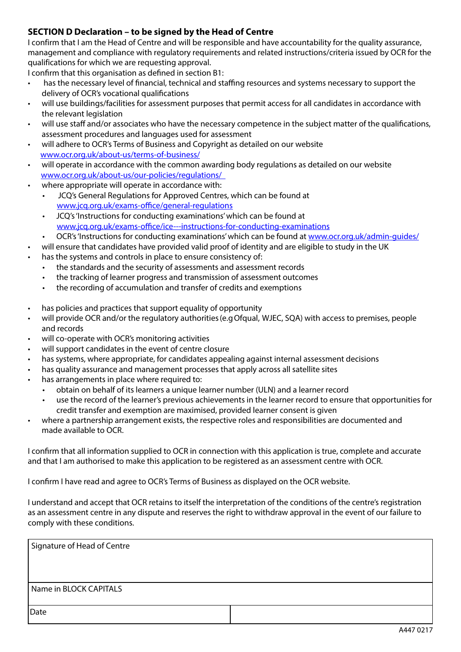# **SECTION D Declaration – to be signed by the Head of Centre**

I confirm that I am the Head of Centre and will be responsible and have accountability for the quality assurance, management and compliance with regulatory requirements and related instructions/criteria issued by OCR for the qualifications for which we are requesting approval.

I confirm that this organisation as defined in section B1:

- has the necessary level of financial, technical and staffing resources and systems necessary to support the delivery of OCR's vocational qualifications
- will use buildings/facilities for assessment purposes that permit access for all candidates in accordance with the relevant legislation
- will use staff and/or associates who have the necessary competence in the subject matter of the qualifications, assessment procedures and languages used for assessment
- will adhere to OCR's Terms of Business and Copyright as detailed on our website <www.ocr.org.uk/about-us/terms-of-business/>
- will operate in accordance with the common awarding body regulations as detailed on our website <www.ocr.org.uk/about-us/our-policies/regulations/>
- where appropriate will operate in accordance with:
	- JCQ's General Regulations for Approved Centres, which can be found at [www.jcq.org.uk/exams-office/general-regulations](www.jcq.org.uk/exams-office/general-regulations%0D)
	- JCQ's 'Instructions for conducting examinations' which can be found at <www.jcq.org.uk/exams-office/ice---instructions-for-conducting-examinations>
	- OCR's 'Instructions for conducting examinations' which can be found at<www.ocr.org.uk/admin-guides/>
- will ensure that candidates have provided valid proof of identity and are eligible to study in the UK
- has the systems and controls in place to ensure consistency of:
	- the standards and the security of assessments and assessment records
	- the tracking of learner progress and transmission of assessment outcomes
	- the recording of accumulation and transfer of credits and exemptions
- has policies and practices that support equality of opportunity
- will provide OCR and/or the regulatory authorities (e.g Ofqual, WJEC, SQA) with access to premises, people and records
- will co-operate with OCR's monitoring activities
- will support candidates in the event of centre closure
- has systems, where appropriate, for candidates appealing against internal assessment decisions
- has quality assurance and management processes that apply across all satellite sites
- has arrangements in place where required to:
	- obtain on behalf of its learners a unique learner number (ULN) and a learner record
		- use the record of the learner's previous achievements in the learner record to ensure that opportunities for credit transfer and exemption are maximised, provided learner consent is given
- where a partnership arrangement exists, the respective roles and responsibilities are documented and made available to OCR.

I confirm that all information supplied to OCR in connection with this application is true, complete and accurate and that I am authorised to make this application to be registered as an assessment centre with OCR.

I confirm I have read and agree to OCR's Terms of Business as displayed on the OCR website.

I understand and accept that OCR retains to itself the interpretation of the conditions of the centre's registration as an assessment centre in any dispute and reserves the right to withdraw approval in the event of our failure to comply with these conditions.

| Signature of Head of Centre |  |
|-----------------------------|--|
|                             |  |
|                             |  |
| Name in BLOCK CAPITALS      |  |
| Date                        |  |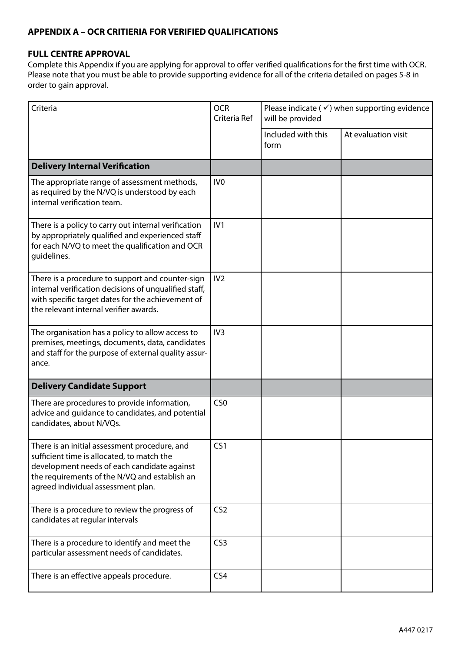# **APPENDIX A – OCR CRITIERIA FOR VERIFIED QUALIFICATIONS**

# **FULL CENTRE APPROVAL**

Complete this Appendix if you are applying for approval to offer verified qualifications for the first time with OCR. Please note that you must be able to provide supporting evidence for all of the criteria detailed on pages 5-8 in order to gain approval.

| Criteria                                                                                                                                                                                                                          | <b>OCR</b><br>Criteria Ref | Please indicate ( $\checkmark$ ) when supporting evidence<br>will be provided |                     |
|-----------------------------------------------------------------------------------------------------------------------------------------------------------------------------------------------------------------------------------|----------------------------|-------------------------------------------------------------------------------|---------------------|
|                                                                                                                                                                                                                                   |                            | Included with this<br>form                                                    | At evaluation visit |
| <b>Delivery Internal Verification</b>                                                                                                                                                                                             |                            |                                                                               |                     |
| The appropriate range of assessment methods,<br>as required by the N/VQ is understood by each<br>internal verification team.                                                                                                      | IV <sub>0</sub>            |                                                                               |                     |
| There is a policy to carry out internal verification<br>by appropriately qualified and experienced staff<br>for each N/VQ to meet the qualification and OCR<br>quidelines.                                                        | IV1                        |                                                                               |                     |
| There is a procedure to support and counter-sign<br>internal verification decisions of unqualified staff,<br>with specific target dates for the achievement of<br>the relevant internal verifier awards.                          | IV <sub>2</sub>            |                                                                               |                     |
| The organisation has a policy to allow access to<br>premises, meetings, documents, data, candidates<br>and staff for the purpose of external quality assur-<br>ance.                                                              | IV <sub>3</sub>            |                                                                               |                     |
| <b>Delivery Candidate Support</b>                                                                                                                                                                                                 |                            |                                                                               |                     |
| There are procedures to provide information,<br>advice and guidance to candidates, and potential<br>candidates, about N/VQs.                                                                                                      | CS <sub>0</sub>            |                                                                               |                     |
| There is an initial assessment procedure, and<br>sufficient time is allocated, to match the<br>development needs of each candidate against<br>the requirements of the N/VQ and establish an<br>agreed individual assessment plan. | CS1                        |                                                                               |                     |
| There is a procedure to review the progress of<br>candidates at regular intervals                                                                                                                                                 | CS <sub>2</sub>            |                                                                               |                     |
| There is a procedure to identify and meet the<br>particular assessment needs of candidates.                                                                                                                                       | CS <sub>3</sub>            |                                                                               |                     |
| There is an effective appeals procedure.                                                                                                                                                                                          | CS <sub>4</sub>            |                                                                               |                     |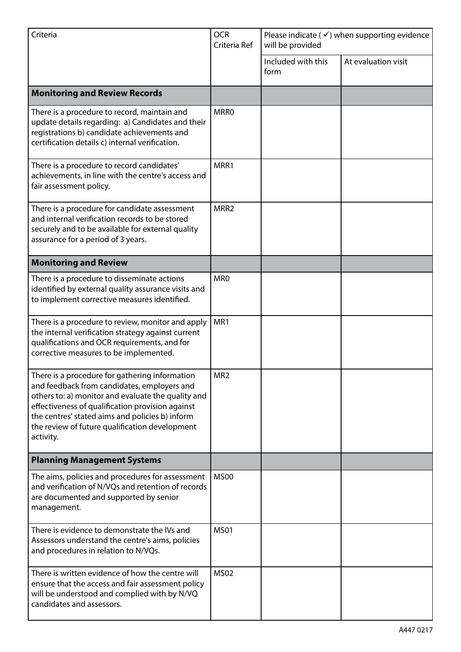| Criteria                                                                                                                                                                                                                                                                                                                  | <b>OCR</b><br>Criteria Ref | Please indicate ( $\checkmark$ ) when supporting evidence<br>will be provided |                     |  |
|---------------------------------------------------------------------------------------------------------------------------------------------------------------------------------------------------------------------------------------------------------------------------------------------------------------------------|----------------------------|-------------------------------------------------------------------------------|---------------------|--|
|                                                                                                                                                                                                                                                                                                                           |                            | Included with this<br>form                                                    | At evaluation visit |  |
| <b>Monitoring and Review Records</b>                                                                                                                                                                                                                                                                                      |                            |                                                                               |                     |  |
| There is a procedure to record, maintain and<br>update details regarding: a) Candidates and their<br>registrations b) candidate achievements and<br>certification details c) internal verification.                                                                                                                       | <b>MRRO</b>                |                                                                               |                     |  |
| There is a procedure to record candidates'<br>achievements, in line with the centre's access and<br>fair assessment policy.                                                                                                                                                                                               | MRR1                       |                                                                               |                     |  |
| There is a procedure for candidate assessment<br>and internal verification records to be stored<br>securely and to be available for external quality<br>assurance for a period of 3 years.                                                                                                                                | MRR <sub>2</sub>           |                                                                               |                     |  |
| <b>Monitoring and Review</b>                                                                                                                                                                                                                                                                                              |                            |                                                                               |                     |  |
| There is a procedure to disseminate actions<br>identified by external quality assurance visits and<br>to implement corrective measures identified.                                                                                                                                                                        | MR <sub>0</sub>            |                                                                               |                     |  |
| There is a procedure to review, monitor and apply<br>the internal verification strategy against current<br>qualifications and OCR requirements, and for<br>corrective measures to be implemented.                                                                                                                         | MR1                        |                                                                               |                     |  |
| There is a procedure for gathering information<br>and feedback from candidates, employers and<br>others to: a) monitor and evaluate the quality and<br>effectiveness of qualification provision against<br>the centres' stated aims and policies b) inform<br>the review of future qualification development<br>activity. | MR <sub>2</sub>            |                                                                               |                     |  |
| <b>Planning Management Systems</b>                                                                                                                                                                                                                                                                                        |                            |                                                                               |                     |  |
| The aims, policies and procedures for assessment<br>and verification of N/VQs and retention of records<br>are documented and supported by senior<br>management.                                                                                                                                                           | <b>MS00</b>                |                                                                               |                     |  |
| There is evidence to demonstrate the IVs and<br>Assessors understand the centre's aims, policies<br>and procedures in relation to N/VQs.                                                                                                                                                                                  | <b>MS01</b>                |                                                                               |                     |  |
| There is written evidence of how the centre will<br>ensure that the access and fair assessment policy<br>will be understood and complied with by N/VQ<br>candidates and assessors.                                                                                                                                        | <b>MS02</b>                |                                                                               |                     |  |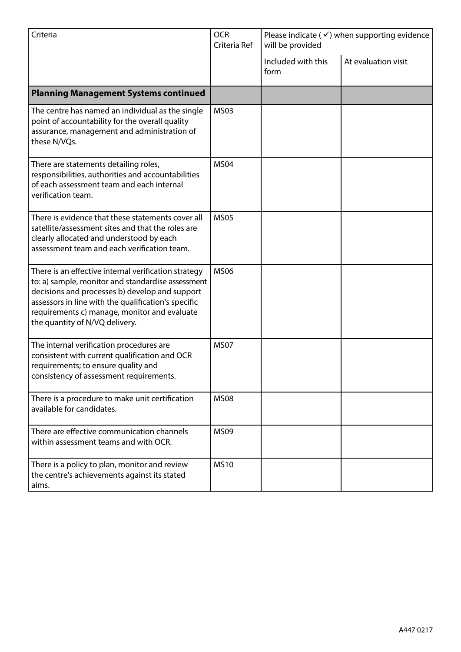| Criteria                                                                                                                                                                                                                                                                                             | <b>OCR</b><br>Criteria Ref | Please indicate ( $\checkmark$ ) when supporting evidence<br>will be provided |                     |
|------------------------------------------------------------------------------------------------------------------------------------------------------------------------------------------------------------------------------------------------------------------------------------------------------|----------------------------|-------------------------------------------------------------------------------|---------------------|
|                                                                                                                                                                                                                                                                                                      |                            | Included with this<br>form                                                    | At evaluation visit |
| <b>Planning Management Systems continued</b>                                                                                                                                                                                                                                                         |                            |                                                                               |                     |
| The centre has named an individual as the single<br>point of accountability for the overall quality<br>assurance, management and administration of<br>these N/VQs.                                                                                                                                   | <b>MS03</b>                |                                                                               |                     |
| There are statements detailing roles,<br>responsibilities, authorities and accountabilities<br>of each assessment team and each internal<br>verification team.                                                                                                                                       | <b>MS04</b>                |                                                                               |                     |
| There is evidence that these statements cover all<br>satellite/assessment sites and that the roles are<br>clearly allocated and understood by each<br>assessment team and each verification team.                                                                                                    | <b>MS05</b>                |                                                                               |                     |
| There is an effective internal verification strategy<br>to: a) sample, monitor and standardise assessment<br>decisions and processes b) develop and support<br>assessors in line with the qualification's specific<br>requirements c) manage, monitor and evaluate<br>the quantity of N/VQ delivery. | <b>MS06</b>                |                                                                               |                     |
| The internal verification procedures are<br>consistent with current qualification and OCR<br>requirements; to ensure quality and<br>consistency of assessment requirements.                                                                                                                          | <b>MS07</b>                |                                                                               |                     |
| There is a procedure to make unit certification<br>available for candidates.                                                                                                                                                                                                                         | <b>MS08</b>                |                                                                               |                     |
| There are effective communication channels<br>within assessment teams and with OCR.                                                                                                                                                                                                                  | <b>MS09</b>                |                                                                               |                     |
| There is a policy to plan, monitor and review<br>the centre's achievements against its stated<br>aims.                                                                                                                                                                                               | <b>MS10</b>                |                                                                               |                     |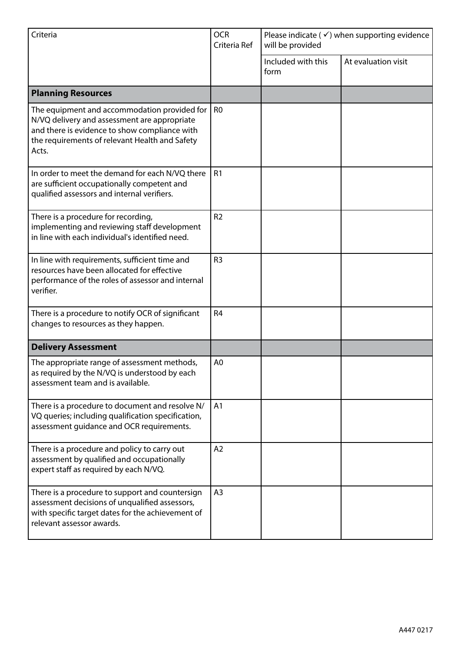| Criteria                                                                                                                                                                                                 | <b>OCR</b><br>Criteria Ref | Please indicate ( $\checkmark$ ) when supporting evidence<br>will be provided |                     |
|----------------------------------------------------------------------------------------------------------------------------------------------------------------------------------------------------------|----------------------------|-------------------------------------------------------------------------------|---------------------|
|                                                                                                                                                                                                          |                            | Included with this<br>form                                                    | At evaluation visit |
| <b>Planning Resources</b>                                                                                                                                                                                |                            |                                                                               |                     |
| The equipment and accommodation provided for<br>N/VQ delivery and assessment are appropriate<br>and there is evidence to show compliance with<br>the requirements of relevant Health and Safety<br>Acts. | R <sub>0</sub>             |                                                                               |                     |
| In order to meet the demand for each N/VQ there<br>are sufficient occupationally competent and<br>qualified assessors and internal verifiers.                                                            | R <sub>1</sub>             |                                                                               |                     |
| There is a procedure for recording,<br>implementing and reviewing staff development<br>in line with each individual's identified need.                                                                   | R <sub>2</sub>             |                                                                               |                     |
| In line with requirements, sufficient time and<br>resources have been allocated for effective<br>performance of the roles of assessor and internal<br>verifier.                                          | R <sub>3</sub>             |                                                                               |                     |
| There is a procedure to notify OCR of significant<br>changes to resources as they happen.                                                                                                                | R <sub>4</sub>             |                                                                               |                     |
| <b>Delivery Assessment</b>                                                                                                                                                                               |                            |                                                                               |                     |
| The appropriate range of assessment methods,<br>as required by the N/VQ is understood by each<br>assessment team and is available.                                                                       | A <sub>0</sub>             |                                                                               |                     |
| There is a procedure to document and resolve N/<br>VQ queries; including qualification specification,<br>assessment quidance and OCR requirements.                                                       | A1                         |                                                                               |                     |
| There is a procedure and policy to carry out<br>assessment by qualified and occupationally<br>expert staff as required by each N/VQ.                                                                     | A2                         |                                                                               |                     |
| There is a procedure to support and countersign<br>assessment decisions of unqualified assessors,<br>with specific target dates for the achievement of<br>relevant assessor awards.                      | A <sub>3</sub>             |                                                                               |                     |